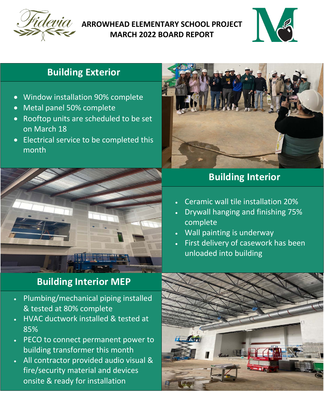

### **ARROWHEAD ELEMENTARY SCHOOL PROJECT MARCH 2022 BOARD REPORT**



# **Building Exterior**

- Window installation 90% complete
- Metal panel 50% complete
- Rooftop units are scheduled to be set on March 18
- Electrical service to be completed this month



## **Building Interior**



- Drywall hanging and finishing 75% complete
- Wall painting is underway
- First delivery of casework has been unloaded into building



## **Building Interior MEP**

- Plumbing/mechanical piping installed & tested at 80% complete
- HVAC ductwork installed & tested at 85%
- PECO to connect permanent power to building transformer this month
- All contractor provided audio visual & fire/security material and devices onsite & ready for installation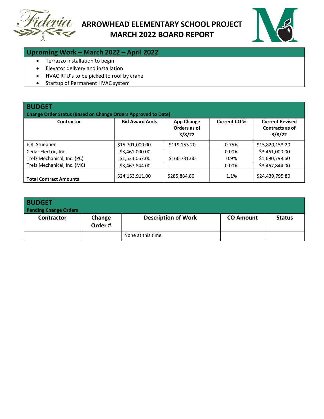



#### **Upcoming Work – March 2022 – April 2022**

- Terrazzo installation to begin
- Elevator delivery and installation
- HVAC RTU's to be picked to roof by crane
- Startup of Permanent HVAC system

| <b>BUDGET</b><br><b>Change Order Status (Based on Change Orders Approved to Date)</b> |                       |                                             |              |                                                     |  |  |  |
|---------------------------------------------------------------------------------------|-----------------------|---------------------------------------------|--------------|-----------------------------------------------------|--|--|--|
| Contractor                                                                            | <b>Bid Award Amts</b> | <b>App Change</b><br>Orders as of<br>3/8/22 | Current CO % | <b>Current Revised</b><br>Contracts as of<br>3/8/22 |  |  |  |
| E.R. Stuebner                                                                         | \$15,701,000.00       | \$119,153.20                                | 0.75%        | \$15,820,153.20                                     |  |  |  |
| Cedar Electric, Inc.                                                                  | \$3,461,000.00        | $- -$                                       | 0.00%        | \$3,461,000.00                                      |  |  |  |
| Trefz Mechanical, Inc. (PC)                                                           | \$1,524,067.00        | \$166,731.60                                | 0.9%         | \$1,690,798.60                                      |  |  |  |
| Trefz Mechanical, Inc. (MC)                                                           | \$3,467,844.00        | --                                          | 0.00%        | \$3,467,844.00                                      |  |  |  |
| <b>Total Contract Amounts</b>                                                         | \$24,153,911.00       | \$285,884.80                                | 1.1%         | \$24,439,795.80                                     |  |  |  |

| <b>BUDGET</b><br><b>Pending Change Orders</b> |                  |                            |                  |               |
|-----------------------------------------------|------------------|----------------------------|------------------|---------------|
| Contractor                                    | Change<br>Order# | <b>Description of Work</b> | <b>CO Amount</b> | <b>Status</b> |
|                                               |                  | None at this time          |                  |               |